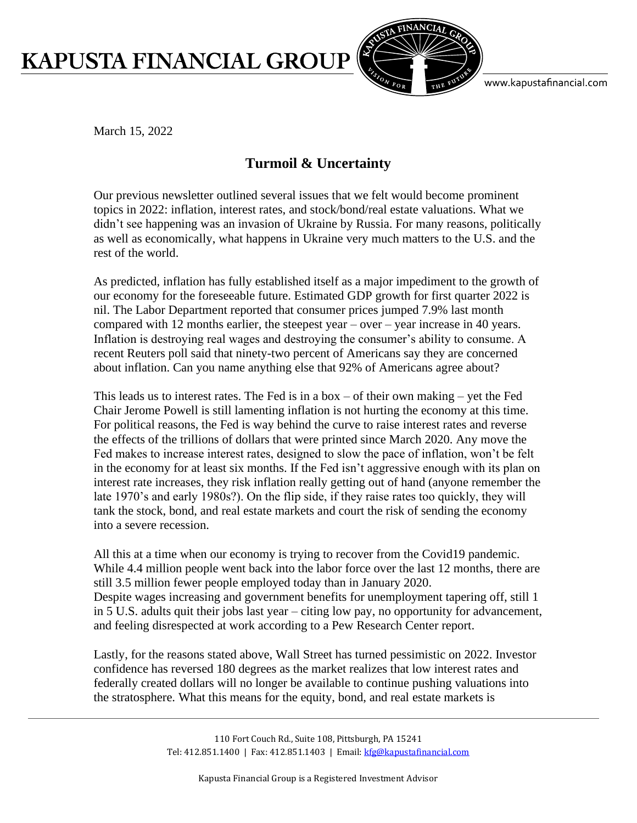## **KAPUSTA FINANCIAL GROUP**



www.kapustafinancial.com

March 15, 2022

## **Turmoil & Uncertainty**

Our previous newsletter outlined several issues that we felt would become prominent topics in 2022: inflation, interest rates, and stock/bond/real estate valuations. What we didn't see happening was an invasion of Ukraine by Russia. For many reasons, politically as well as economically, what happens in Ukraine very much matters to the U.S. and the rest of the world.

As predicted, inflation has fully established itself as a major impediment to the growth of our economy for the foreseeable future. Estimated GDP growth for first quarter 2022 is nil. The Labor Department reported that consumer prices jumped 7.9% last month compared with 12 months earlier, the steepest year – over – year increase in 40 years. Inflation is destroying real wages and destroying the consumer's ability to consume. A recent Reuters poll said that ninety-two percent of Americans say they are concerned about inflation. Can you name anything else that 92% of Americans agree about?

This leads us to interest rates. The Fed is in a box – of their own making – yet the Fed Chair Jerome Powell is still lamenting inflation is not hurting the economy at this time. For political reasons, the Fed is way behind the curve to raise interest rates and reverse the effects of the trillions of dollars that were printed since March 2020. Any move the Fed makes to increase interest rates, designed to slow the pace of inflation, won't be felt in the economy for at least six months. If the Fed isn't aggressive enough with its plan on interest rate increases, they risk inflation really getting out of hand (anyone remember the late 1970's and early 1980s?). On the flip side, if they raise rates too quickly, they will tank the stock, bond, and real estate markets and court the risk of sending the economy into a severe recession.

All this at a time when our economy is trying to recover from the Covid19 pandemic. While 4.4 million people went back into the labor force over the last 12 months, there are still 3.5 million fewer people employed today than in January 2020. Despite wages increasing and government benefits for unemployment tapering off, still 1 in 5 U.S. adults quit their jobs last year – citing low pay, no opportunity for advancement, and feeling disrespected at work according to a Pew Research Center report.

Lastly, for the reasons stated above, Wall Street has turned pessimistic on 2022. Investor confidence has reversed 180 degrees as the market realizes that low interest rates and federally created dollars will no longer be available to continue pushing valuations into the stratosphere. What this means for the equity, bond, and real estate markets is